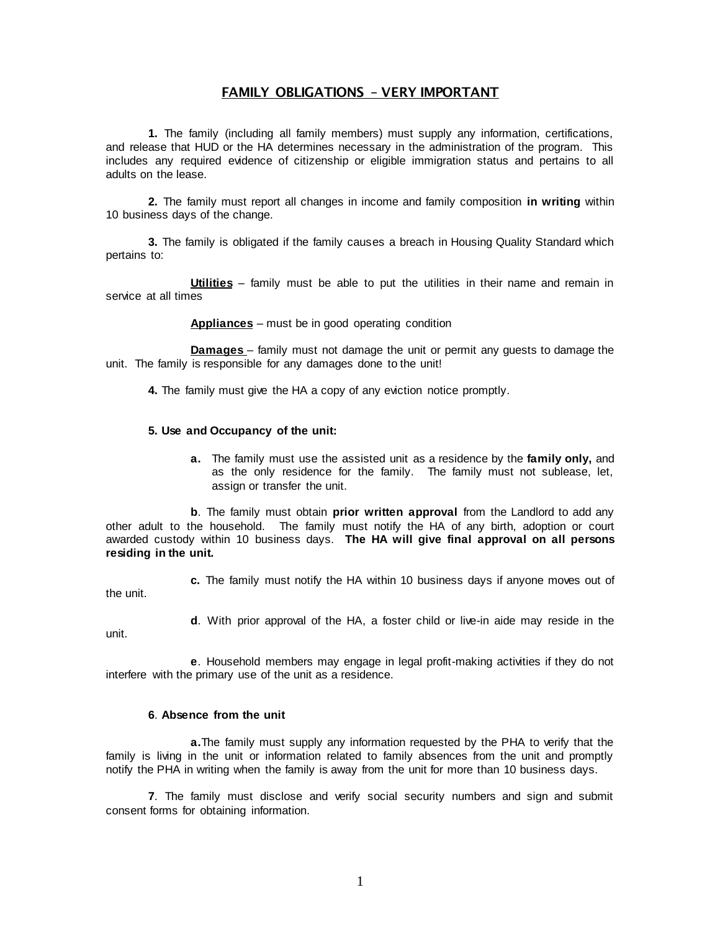## FAMILY OBLIGATIONS – VERY IMPORTANT

**1.** The family (including all family members) must supply any information, certifications, and release that HUD or the HA determines necessary in the administration of the program. This includes any required evidence of citizenship or eligible immigration status and pertains to all adults on the lease.

**2.** The family must report all changes in income and family composition **in writing** within 10 business days of the change.

**3.** The family is obligated if the family causes a breach in Housing Quality Standard which pertains to:

**Utilities** – family must be able to put the utilities in their name and remain in service at all times

**Appliances** – must be in good operating condition

**Damages** – family must not damage the unit or permit any guests to damage the unit. The family is responsible for any damages done to the unit!

**4.** The family must give the HA a copy of any eviction notice promptly.

## **5. Use and Occupancy of the unit:**

**a.** The family must use the assisted unit as a residence by the **family only,** and as the only residence for the family. The family must not sublease, let, assign or transfer the unit.

**b**. The family must obtain **prior written approval** from the Landlord to add any other adult to the household. The family must notify the HA of any birth, adoption or court awarded custody within 10 business days. **The HA will give final approval on all persons residing in the unit.**

the unit.

**c.** The family must notify the HA within 10 business days if anyone moves out of

unit.

**d**. With prior approval of the HA, a foster child or live-in aide may reside in the

**e**. Household members may engage in legal profit-making activities if they do not

## **6**. **Absence from the unit**

interfere with the primary use of the unit as a residence.

 **a.**The family must supply any information requested by the PHA to verify that the family is living in the unit or information related to family absences from the unit and promptly notify the PHA in writing when the family is away from the unit for more than 10 business days.

**7**. The family must disclose and verify social security numbers and sign and submit consent forms for obtaining information.